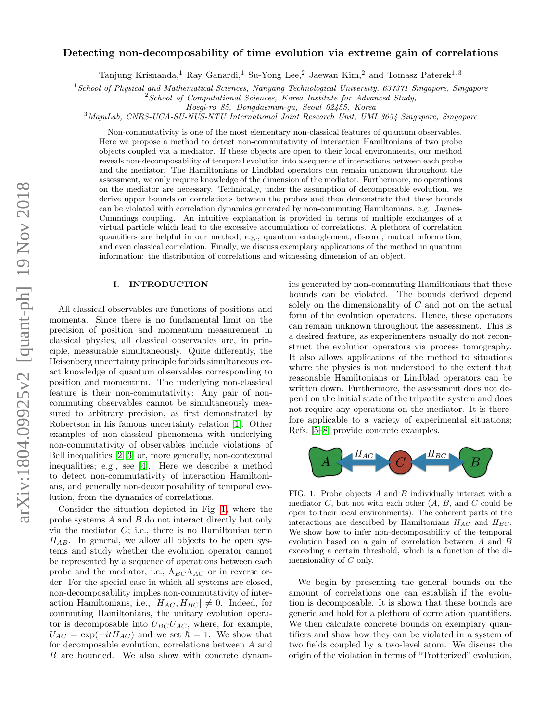# arXiv:1804.09925v2 [quant-ph] 19 Nov 2018 arXiv:1804.09925v2 [quant-ph] 19 Nov 2018

# Detecting non-decomposability of time evolution via extreme gain of correlations

Tanjung Krisnanda,<sup>1</sup> Ray Ganardi,<sup>1</sup> Su-Yong Lee,<sup>2</sup> Jaewan Kim,<sup>2</sup> and Tomasz Paterek<sup>1,3</sup>

<sup>1</sup>School of Physical and Mathematical Sciences, Nanyang Technological University, 637371 Singapore, Singapore

 $2$ School of Computational Sciences, Korea Institute for Advanced Study,

Hoegi-ro 85, Dongdaemun-gu, Seoul 02455, Korea

<sup>3</sup>MajuLab, CNRS-UCA-SU-NUS-NTU International Joint Research Unit, UMI 3654 Singapore, Singapore

Non-commutativity is one of the most elementary non-classical features of quantum observables. Here we propose a method to detect non-commutativity of interaction Hamiltonians of two probe objects coupled via a mediator. If these objects are open to their local environments, our method reveals non-decomposability of temporal evolution into a sequence of interactions between each probe and the mediator. The Hamiltonians or Lindblad operators can remain unknown throughout the assessment, we only require knowledge of the dimension of the mediator. Furthermore, no operations on the mediator are necessary. Technically, under the assumption of decomposable evolution, we derive upper bounds on correlations between the probes and then demonstrate that these bounds can be violated with correlation dynamics generated by non-commuting Hamiltonians, e.g., Jaynes-Cummings coupling. An intuitive explanation is provided in terms of multiple exchanges of a virtual particle which lead to the excessive accumulation of correlations. A plethora of correlation quantifiers are helpful in our method, e.g., quantum entanglement, discord, mutual information, and even classical correlation. Finally, we discuss exemplary applications of the method in quantum information: the distribution of correlations and witnessing dimension of an object.

### I. INTRODUCTION

All classical observables are functions of positions and momenta. Since there is no fundamental limit on the precision of position and momentum measurement in classical physics, all classical observables are, in principle, measurable simultaneously. Quite differently, the Heisenberg uncertainty principle forbids simultaneous exact knowledge of quantum observables corresponding to position and momentum. The underlying non-classical feature is their non-commutativity: Any pair of noncommuting observables cannot be simultaneously measured to arbitrary precision, as first demonstrated by Robertson in his famous uncertainty relation [\[1\]](#page-5-0). Other examples of non-classical phenomena with underlying non-commutativity of observables include violations of Bell inequalities [\[2,](#page-5-1) [3\]](#page-5-2) or, more generally, non-contextual inequalities; e.g., see [\[4\]](#page-5-3). Here we describe a method to detect non-commutativity of interaction Hamiltonians, and generally non-decomposability of temporal evolution, from the dynamics of correlations.

Consider the situation depicted in Fig. [1,](#page-0-0) where the probe systems A and B do not interact directly but only via the mediator  $C$ ; i.e., there is no Hamiltonian term  $H_{AB}$ . In general, we allow all objects to be open systems and study whether the evolution operator cannot be represented by a sequence of operations between each probe and the mediator, i.e.,  $\Lambda_{BC}\Lambda_{AC}$  or in reverse order. For the special case in which all systems are closed, non-decomposability implies non-commutativity of interaction Hamiltonians, i.e.,  $[H_{AC}, H_{BC}] \neq 0$ . Indeed, for commuting Hamiltonians, the unitary evolution operator is decomposable into  $U_{BC}U_{AC}$ , where, for example,  $U_{AC} = \exp(-itH_{AC})$  and we set  $\hbar = 1$ . We show that for decomposable evolution, correlations between A and B are bounded. We also show with concrete dynamics generated by non-commuting Hamiltonians that these bounds can be violated. The bounds derived depend solely on the dimensionality of C and not on the actual form of the evolution operators. Hence, these operators can remain unknown throughout the assessment. This is a desired feature, as experimenters usually do not reconstruct the evolution operators via process tomography. It also allows applications of the method to situations where the physics is not understood to the extent that reasonable Hamiltonians or Lindblad operators can be written down. Furthermore, the assessment does not depend on the initial state of the tripartite system and does not require any operations on the mediator. It is therefore applicable to a variety of experimental situations; Refs. [\[5–](#page-5-4)[8\]](#page-6-0) provide concrete examples.



<span id="page-0-0"></span>FIG. 1. Probe objects A and B individually interact with a mediator  $C$ , but not with each other  $(A, B, \text{ and } C \text{ could be})$ open to their local environments). The coherent parts of the interactions are described by Hamiltonians  $H_{AC}$  and  $H_{BC}$ . We show how to infer non-decomposability of the temporal evolution based on a gain of correlation between A and B exceeding a certain threshold, which is a function of the dimensionality of C only.

We begin by presenting the general bounds on the amount of correlations one can establish if the evolution is decomposable. It is shown that these bounds are generic and hold for a plethora of correlation quantifiers. We then calculate concrete bounds on exemplary quantifiers and show how they can be violated in a system of two fields coupled by a two-level atom. We discuss the origin of the violation in terms of "Trotterized" evolution,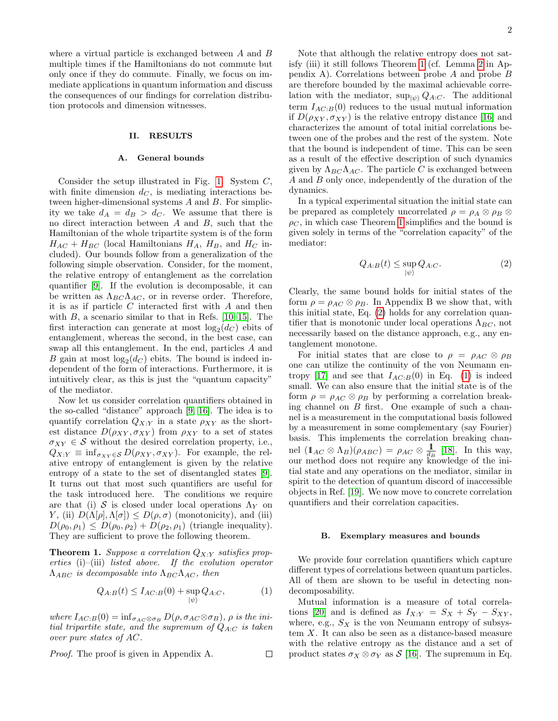where a virtual particle is exchanged between A and B multiple times if the Hamiltonians do not commute but only once if they do commute. Finally, we focus on immediate applications in quantum information and discuss the consequences of our findings for correlation distribution protocols and dimension witnesses.

## II. RESULTS

### A. General bounds

Consider the setup illustrated in Fig. [1.](#page-0-0) System  $C$ , with finite dimension  $d<sub>C</sub>$ , is mediating interactions between higher-dimensional systems  $A$  and  $B$ . For simplicity we take  $d_A = d_B > d_C$ . We assume that there is no direct interaction between A and B, such that the Hamiltonian of the whole tripartite system is of the form  $H_{AC} + H_{BC}$  (local Hamiltonians  $H_A$ ,  $H_B$ , and  $H_C$  included). Our bounds follow from a generalization of the following simple observation. Consider, for the moment, the relative entropy of entanglement as the correlation quantifier [\[9\]](#page-6-1). If the evolution is decomposable, it can be written as  $\Lambda_{BC}\Lambda_{AC}$ , or in reverse order. Therefore, it is as if particle  $C$  interacted first with  $A$  and then with  $B$ , a scenario similar to that in Refs. [\[10–](#page-6-2)[15\]](#page-6-3). The first interaction can generate at most  $log_2(d_C)$  ebits of entanglement, whereas the second, in the best case, can swap all this entanglement. In the end, particles A and B gain at most  $log_2(d_C)$  ebits. The bound is indeed independent of the form of interactions. Furthermore, it is intuitively clear, as this is just the "quantum capacity" of the mediator.

Now let us consider correlation quantifiers obtained in the so-called "distance" approach [\[9,](#page-6-1) [16\]](#page-6-4). The idea is to quantify correlation  $Q_{X:Y}$  in a state  $\rho_{XY}$  as the shortest distance  $D(\rho_{XY}, \sigma_{XY})$  from  $\rho_{XY}$  to a set of states  $\sigma_{XY} \in \mathcal{S}$  without the desired correlation property, i.e.,  $Q_{X:Y} \equiv \inf_{\sigma_{XY} \in \mathcal{S}} D(\rho_{XY}, \sigma_{XY}).$  For example, the relative entropy of entanglement is given by the relative entropy of a state to the set of disentangled states [\[9\]](#page-6-1). It turns out that most such quantifiers are useful for the task introduced here. The conditions we require are that (i) S is closed under local operations  $\Lambda_Y$  on Y, (ii)  $D(\Lambda[\rho], \Lambda[\sigma]) \leq D(\rho, \sigma)$  (monotonicity), and (iii)  $D(\rho_0, \rho_1) \leq D(\rho_0, \rho_2) + D(\rho_2, \rho_1)$  (triangle inequality). They are sufficient to prove the following theorem.

<span id="page-1-0"></span>**Theorem 1.** Suppose a correlation  $Q_{X:Y}$  satisfies properties (i)–(iii) listed above. If the evolution operator  $\Lambda_{ABC}$  is decomposable into  $\Lambda_{BC}\Lambda_{AC}$ , then

<span id="page-1-2"></span>
$$
Q_{A:B}(t) \leq I_{AC:B}(0) + \sup_{|\psi\rangle} Q_{A:C}, \tag{1}
$$

 $\Box$ 

where  $I_{AC:B}(0) = \inf_{\sigma_{AC} \otimes \sigma_B} D(\rho, \sigma_{AC} \otimes \sigma_B), \rho$  is the initial tripartite state, and the supremum of  $Q_{A:C}$  is taken over pure states of AC.

Proof. The proof is given in Appendix A.

Note that although the relative entropy does not satisfy (iii) it still follows Theorem [1](#page-1-0) (cf. Lemma [2](#page-4-0) in Appendix A). Correlations between probe A and probe B are therefore bounded by the maximal achievable correlation with the mediator,  $\sup_{|\psi\rangle} Q_{A:C}$ . The additional term  $I_{AC:B}(0)$  reduces to the usual mutual information if  $D(\rho_{XY}, \sigma_{XY})$  is the relative entropy distance [\[16\]](#page-6-4) and characterizes the amount of total initial correlations between one of the probes and the rest of the system. Note that the bound is independent of time. This can be seen as a result of the effective description of such dynamics given by  $\Lambda_{BC}\Lambda_{AC}$ . The particle C is exchanged between A and B only once, independently of the duration of the dynamics.

In a typical experimental situation the initial state can be prepared as completely uncorrelated  $\rho = \rho_A \otimes \rho_B \otimes$  $\rho_C$ , in which case Theorem [1](#page-1-0) simplifies and the bound is given solely in terms of the "correlation capacity" of the mediator:

<span id="page-1-1"></span>
$$
Q_{A:B}(t) \le \sup_{|\psi\rangle} Q_{A:C}.\tag{2}
$$

Clearly, the same bound holds for initial states of the form  $\rho = \rho_{AC} \otimes \rho_B$ . In Appendix B we show that, with this initial state, Eq. [\(2\)](#page-1-1) holds for any correlation quantifier that is monotonic under local operations  $\Lambda_{BC}$ , not necessarily based on the distance approach, e.g., any entanglement monotone.

For initial states that are close to  $\rho = \rho_{AC} \otimes \rho_B$ one can utilize the continuity of the von Neumann en-tropy [\[17\]](#page-6-5) and see that  $I_{AC:B}(0)$  in Eq. [\(1\)](#page-1-2) is indeed small. We can also ensure that the initial state is of the form  $\rho = \rho_{AC} \otimes \rho_B$  by performing a correlation breaking channel on  $B$  first. One example of such a channel is a measurement in the computational basis followed by a measurement in some complementary (say Fourier) basis. This implements the correlation breaking channel  $(1_{AC} \otimes \Lambda_B)(\rho_{ABC}) = \rho_{AC} \otimes \frac{1}{d_B}$  [\[18\]](#page-6-6). In this way, our method does not require any knowledge of the initial state and any operations on the mediator, similar in spirit to the detection of quantum discord of inaccessible objects in Ref. [\[19\]](#page-6-7). We now move to concrete correlation quantifiers and their correlation capacities.

### B. Exemplary measures and bounds

We provide four correlation quantifiers which capture different types of correlations between quantum particles. All of them are shown to be useful in detecting nondecomposability.

Mutual information is a measure of total correla-tions [\[20\]](#page-6-8) and is defined as  $I_{X:Y} = S_X + S_Y - S_{XY}$ , where, e.g.,  $S_X$  is the von Neumann entropy of subsystem X. It can also be seen as a distance-based measure with the relative entropy as the distance and a set of product states  $\sigma_X \otimes \sigma_Y$  as  $\mathcal{S}$  [\[16\]](#page-6-4). The supremum in Eq.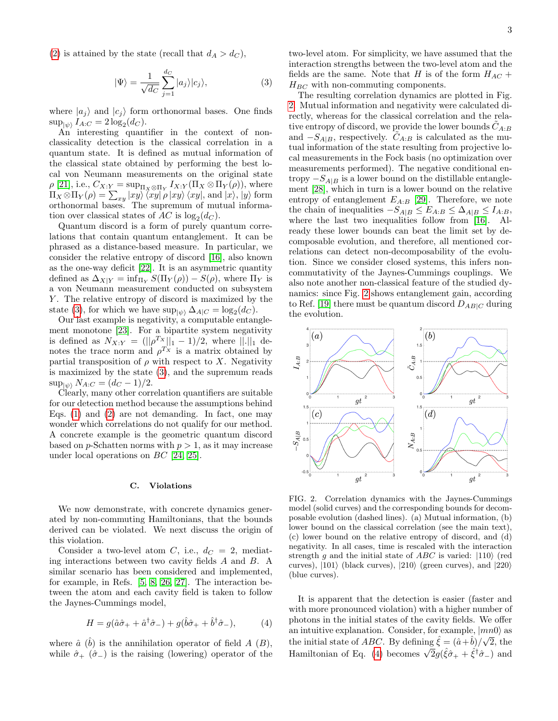<span id="page-2-0"></span>
$$
|\Psi\rangle = \frac{1}{\sqrt{d_C}} \sum_{j=1}^{d_C} |a_j\rangle |c_j\rangle, \tag{3}
$$

where  $|a_i\rangle$  and  $|c_i\rangle$  form orthonormal bases. One finds  $\sup_{|\psi\rangle} I_{A:C} = 2 \log_2(d_C).$ 

An interesting quantifier in the context of nonclassicality detection is the classical correlation in a quantum state. It is defined as mutual information of the classical state obtained by performing the best local von Neumann measurements on the original state  $\rho$  [\[21\]](#page-6-9), i.e.,  $C_{X:Y} = \sup_{\Pi_X \otimes \Pi_Y} I_{X:Y}(\Pi_X \otimes \Pi_Y(\rho)),$  where  $\Pi_X \otimes \Pi_Y(\rho) = \sum_{xy} |xy\rangle \langle xy| \rho |xy\rangle \langle xy|$ , and  $|x\rangle$ ,  $|y\rangle$  form orthonormal bases. The supremum of mutual information over classical states of  $AC$  is  $log_2(d_C)$ .

Quantum discord is a form of purely quantum correlations that contain quantum entanglement. It can be phrased as a distance-based measure. In particular, we consider the relative entropy of discord [\[16\]](#page-6-4), also known as the one-way deficit [\[22\]](#page-6-10). It is an asymmetric quantity defined as  $\Delta_{X|Y} = \inf_{\Pi_Y} S(\Pi_Y(\rho)) - S(\rho)$ , where  $\Pi_Y$  is a von Neumann measurement conducted on subsystem Y. The relative entropy of discord is maximized by the state [\(3\)](#page-2-0), for which we have  $\sup_{|\psi\rangle} \Delta_{A|C} = \log_2(d_C)$ .

Our last example is negativity, a computable entanglement monotone [\[23\]](#page-6-11). For a bipartite system negativity is defined as  $N_{X:Y} = (||\rho^{Tx}||_1 - 1)/2$ , where  $||.||_1$  denotes the trace norm and  $\rho^{Tx}$  is a matrix obtained by partial transposition of  $\rho$  with respect to X. Negativity is maximized by the state [\(3\)](#page-2-0), and the supremum reads  $\sup_{|\psi\rangle} N_{A:C} = (d_C - 1)/2.$ 

Clearly, many other correlation quantifiers are suitable for our detection method because the assumptions behind Eqs. [\(1\)](#page-1-2) and [\(2\)](#page-1-1) are not demanding. In fact, one may wonder which correlations do not qualify for our method. A concrete example is the geometric quantum discord based on p-Schatten norms with  $p > 1$ , as it may increase under local operations on BC [\[24,](#page-6-12) [25\]](#page-6-13).

# C. Violations

We now demonstrate, with concrete dynamics generated by non-commuting Hamiltonians, that the bounds derived can be violated. We next discuss the origin of this violation.

Consider a two-level atom C, i.e.,  $d_C = 2$ , mediating interactions between two cavity fields A and B. A similar scenario has been considered and implemented, for example, in Refs. [\[5,](#page-5-4) [8,](#page-6-0) [26,](#page-6-14) [27\]](#page-6-15). The interaction between the atom and each cavity field is taken to follow the Jaynes-Cummings model,

<span id="page-2-2"></span>
$$
H = g(\hat{a}\hat{\sigma}_+ + \hat{a}^\dagger \hat{\sigma}_-) + g(\hat{b}\hat{\sigma}_+ + \hat{b}^\dagger \hat{\sigma}_-),\tag{4}
$$

where  $\hat{a}$  ( $\hat{b}$ ) is the annihilation operator of field A (B), while  $\hat{\sigma}_+$  ( $\hat{\sigma}_-$ ) is the raising (lowering) operator of the

two-level atom. For simplicity, we have assumed that the interaction strengths between the two-level atom and the fields are the same. Note that H is of the form  $H_{AC}$  +  $H_{BC}$  with non-commuting components.

The resulting correlation dynamics are plotted in Fig. [2.](#page-2-1) Mutual information and negativity were calculated directly, whereas for the classical correlation and the relative entropy of discord, we provide the lower bounds  $\tilde{C}_{A:B}$ and  $-S_{A|B}$ , respectively.  $C_{A:B}$  is calculated as the mutual information of the state resulting from projective local measurements in the Fock basis (no optimization over measurements performed). The negative conditional entropy  $-S_{A|B}$  is a lower bound on the distillable entanglement [\[28\]](#page-6-16), which in turn is a lower bound on the relative entropy of entanglement  $E_{A:B}$  [\[29\]](#page-6-17). Therefore, we note the chain of inequalities  $-S_{A|B} \leq E_{A:B} \leq \Delta_{A|B} \leq I_{A:B}$ , where the last two inequalities follow from [\[16\]](#page-6-4). Already these lower bounds can beat the limit set by decomposable evolution, and therefore, all mentioned correlations can detect non-decomposability of the evolution. Since we consider closed systems, this infers noncommutativity of the Jaynes-Cummings couplings. We also note another non-classical feature of the studied dynamics: since Fig. [2](#page-2-1) shows entanglement gain, according to Ref. [\[19\]](#page-6-7) there must be quantum discord  $D_{AB|C}$  during the evolution.



<span id="page-2-1"></span>FIG. 2. Correlation dynamics with the Jaynes-Cummings model (solid curves) and the corresponding bounds for decomposable evolution (dashed lines). (a) Mutual information, (b) lower bound on the classical correlation (see the main text), (c) lower bound on the relative entropy of discord, and (d) negativity. In all cases, time is rescaled with the interaction strength g and the initial state of  $ABC$  is varied:  $|110\rangle$  (red curves),  $|101\rangle$  (black curves),  $|210\rangle$  (green curves), and  $|220\rangle$ (blue curves).

It is apparent that the detection is easier (faster and with more pronounced violation) with a higher number of photons in the initial states of the cavity fields. We offer an intuitive explanation. Consider, for example,  $\ket{mn0}$  as the initial state of *ABC*. By defining  $\hat{\xi} = (\hat{a} + \hat{b})/\sqrt{2}$ , the Hamiltonian of Eq. [\(4\)](#page-2-2) becomes  $\sqrt{2}g(\hat{\xi}\hat{\sigma}_+ + \hat{\xi}^\dagger\hat{\sigma}_-)$  and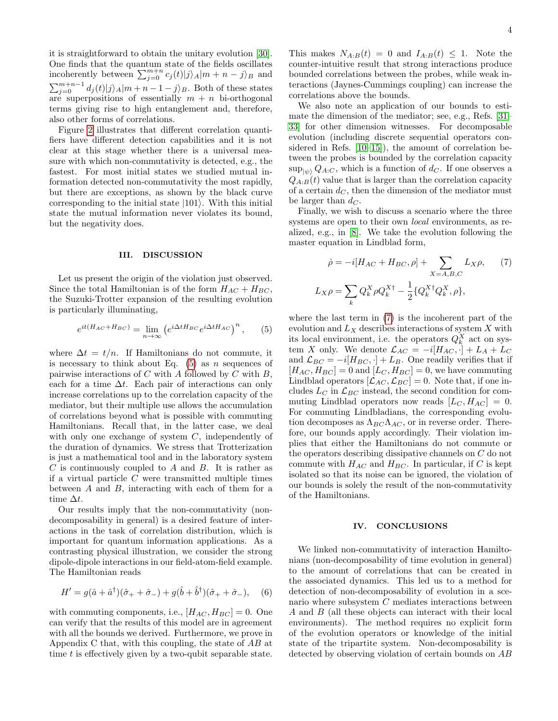it is straightforward to obtain the unitary evolution [\[30\]](#page-6-18). One finds that the quantum state of the fields oscillates incoherently between  $\sum_{j=0}^{m+n} c_j(t)|j\rangle_A|m + n - j\rangle_B$  and  $\sum_{j=0}^{m+n-1} d_j(t) |j\rangle_A |m+n-1-j\rangle_B$ . Both of these states are superpositions of essentially  $m + n$  bi-orthogonal terms giving rise to high entanglement and, therefore, also other forms of correlations.

Figure [2](#page-2-1) illustrates that different correlation quantifiers have different detection capabilities and it is not clear at this stage whether there is a universal measure with which non-commutativity is detected, e.g., the fastest. For most initial states we studied mutual information detected non-commutativity the most rapidly, but there are exceptions, as shown by the black curve corresponding to the initial state  $|101\rangle$ . With this initial state the mutual information never violates its bound, but the negativity does.

### III. DISCUSSION

Let us present the origin of the violation just observed. Since the total Hamiltonian is of the form  $H_{AC} + H_{BC}$ , the Suzuki-Trotter expansion of the resulting evolution is particularly illuminating,

<span id="page-3-0"></span>
$$
e^{it(H_{AC} + H_{BC})} = \lim_{n \to \infty} \left( e^{i\Delta t H_{BC}} e^{i\Delta t H_{AC}} \right)^n, \qquad (5)
$$

where  $\Delta t = t/n$ . If Hamiltonians do not commute, it is necessary to think about Eq.  $(5)$  as n sequences of pairwise interactions of  $C$  with  $A$  followed by  $C$  with  $B$ , each for a time  $\Delta t$ . Each pair of interactions can only increase correlations up to the correlation capacity of the mediator, but their multiple use allows the accumulation of correlations beyond what is possible with commuting Hamiltonians. Recall that, in the latter case, we deal with only one exchange of system C, independently of the duration of dynamics. We stress that Trotterization is just a mathematical tool and in the laboratory system  $C$  is continuously coupled to  $A$  and  $B$ . It is rather as if a virtual particle  $C$  were transmitted multiple times between  $A$  and  $B$ , interacting with each of them for a time  $\Delta t$ .

Our results imply that the non-commutativity (nondecomposability in general) is a desired feature of interactions in the task of correlation distribution, which is important for quantum information applications. As a contrasting physical illustration, we consider the strong dipole-dipole interactions in our field-atom-field example. The Hamiltonian reads

$$
H' = g(\hat{a} + \hat{a}^{\dagger})(\hat{\sigma}_{+} + \hat{\sigma}_{-}) + g(\hat{b} + \hat{b}^{\dagger})(\hat{\sigma}_{+} + \hat{\sigma}_{-}), \quad (6)
$$

with commuting components, i.e.,  $[H_{AC}, H_{BC}] = 0$ . One can verify that the results of this model are in agreement with all the bounds we derived. Furthermore, we prove in Appendix C that, with this coupling, the state of AB at time  $t$  is effectively given by a two-qubit separable state.

This makes  $N_{A:B}(t) = 0$  and  $I_{A:B}(t) \leq 1$ . Note the counter-intuitive result that strong interactions produce bounded correlations between the probes, while weak interactions (Jaynes-Cummings coupling) can increase the correlations above the bounds.

We also note an application of our bounds to estimate the dimension of the mediator; see, e.g., Refs. [\[31–](#page-6-19) [33\]](#page-6-20) for other dimension witnesses. For decomposable evolution (including discrete sequential operators considered in Refs. [\[10](#page-6-2)[–15\]](#page-6-3)), the amount of correlation between the probes is bounded by the correlation capacity  $\sup_{|\psi\rangle} Q_{A:C}$ , which is a function of  $d_C$ . If one observes a  $Q_{A:B}(t)$  value that is larger than the correlation capacity of a certain  $d_C$ , then the dimension of the mediator must be larger than  $d_C$ .

Finally, we wish to discuss a scenario where the three systems are open to their own *local* environments, as realized, e.g., in [\[8\]](#page-6-0). We take the evolution following the master equation in Lindblad form,

<span id="page-3-1"></span>
$$
\dot{\rho} = -i[H_{AC} + H_{BC}, \rho] + \sum_{X=A,B,C} L_X \rho, \qquad (7)
$$

$$
L_X \rho = \sum_k Q_k^X \rho Q_k^{X\dagger} - \frac{1}{2} \{ Q_k^{X\dagger} Q_k^X, \rho \},
$$

where the last term in [\(7\)](#page-3-1) is the incoherent part of the evolution and  $L_X$  describes interactions of system X with its local environment, i.e. the operators  $Q_k^X$  act on system X only. We denote  $\mathcal{L}_{AC} = -i[H_{AC}, \cdot] + L_A + L_C$ and  $\mathcal{L}_{BC} = -i[H_{BC}, \cdot] + L_B$ . One readily verifies that if  $[H_{AC}, H_{BC}] = 0$  and  $[L_C, H_{BC}] = 0$ , we have commuting Lindblad operators  $[\mathcal{L}_{AC}, \mathcal{L}_{BC}] = 0$ . Note that, if one includes  $L_C$  in  $\mathcal{L}_{BC}$  instead, the second condition for commuting Lindblad operators now reads  $[L_C, H_{AC}] = 0$ . For commuting Lindbladians, the corresponding evolution decomposes as  $\Lambda_{BC}\Lambda_{AC}$ , or in reverse order. Therefore, our bounds apply accordingly. Their violation implies that either the Hamiltonians do not commute or the operators describing dissipative channels on C do not commute with  $H_{AC}$  and  $H_{BC}$ . In particular, if C is kept isolated so that its noise can be ignored, the violation of our bounds is solely the result of the non-commutativity of the Hamiltonians.

# IV. CONCLUSIONS

We linked non-commutativity of interaction Hamiltonians (non-decomposability of time evolution in general) to the amount of correlations that can be created in the associated dynamics. This led us to a method for detection of non-decomposability of evolution in a scenario where subsystem C mediates interactions between A and B (all these objects can interact with their local environments). The method requires no explicit form of the evolution operators or knowledge of the initial state of the tripartite system. Non-decomposability is detected by observing violation of certain bounds on AB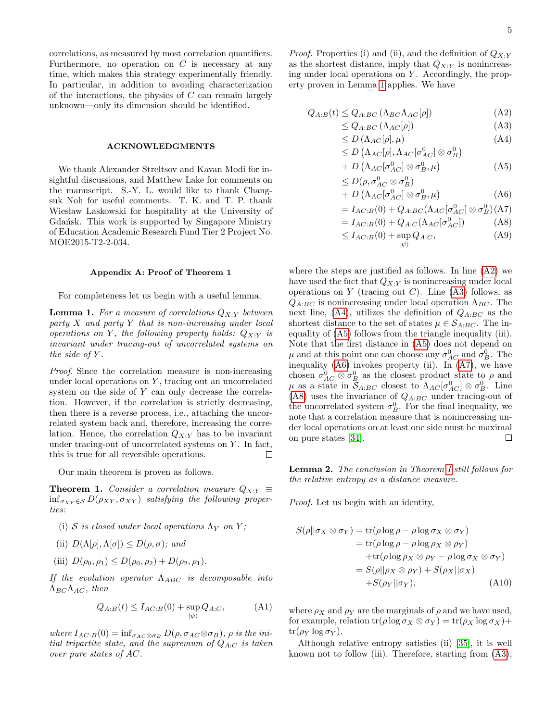correlations, as measured by most correlation quantifiers. Furthermore, no operation on  $C$  is necessary at any time, which makes this strategy experimentally friendly. In particular, in addition to avoiding characterization of the interactions, the physics of  $C$  can remain largely unknown—only its dimension should be identified.

### ACKNOWLEDGMENTS

We thank Alexander Streltsov and Kavan Modi for insightful discussions, and Matthew Lake for comments on the manuscript. S.-Y. L. would like to thank Changsuk Noh for useful comments. T. K. and T. P. thank Wiesław Laskowski for hospitality at the University of Gdańsk. This work is supported by Singapore Ministry of Education Academic Research Fund Tier 2 Project No. MOE2015-T2-2-034.

### Appendix A: Proof of Theorem 1

For completeness let us begin with a useful lemma.

**Lemma 1.** For a measure of correlations  $Q_{X:Y}$  between party  $X$  and party  $Y$  that is non-increasing under local operations on Y, the following property holds:  $Q_{X:Y}$  is invariant under tracing-out of uncorrelated systems on the side of  $Y$ .

Proof. Since the correlation measure is non-increasing under local operations on  $Y$ , tracing out an uncorrelated system on the side of Y can only decrease the correlation. However, if the correlation is strictly decreasing, then there is a reverse process, i.e., attaching the uncorrelated system back and, therefore, increasing the correlation. Hence, the correlation  $Q_{X:Y}$  has to be invariant under tracing-out of uncorrelated systems on  $Y$ . In fact, this is true for all reversible operations.  $\Box$ 

Our main theorem is proven as follows.

**Theorem 1.** Consider a correlation measure  $Q_{X:Y} \equiv$  $\inf_{\sigma_{XY} \in \mathcal{S}} D(\rho_{XY}, \sigma_{XY})$  satisfying the following properties:

- (i) S is closed under local operations  $\Lambda_Y$  on Y;
- (ii)  $D(\Lambda[\rho], \Lambda[\sigma]) \leq D(\rho, \sigma)$ ; and
- (iii)  $D(\rho_0, \rho_1) \leq D(\rho_0, \rho_2) + D(\rho_2, \rho_1)$ .

If the evolution operator  $\Lambda_{ABC}$  is decomposable into  $\Lambda_{BC}\Lambda_{AC}$ , then

$$
Q_{A:B}(t) \le I_{AC:B}(0) + \sup_{|\psi\rangle} Q_{A:C}, \tag{A1}
$$

where  $I_{AC:B}(0) = \inf_{\sigma_{AC} \otimes \sigma_B} D(\rho, \sigma_{AC} \otimes \sigma_B), \rho$  is the initial tripartite state, and the supremum of  $Q_{A:C}$  is taken over pure states of AC.

*Proof.* Properties (i) and (ii), and the definition of  $Q_{X:Y}$ as the shortest distance, imply that  $Q_{X:Y}$  is nonincreasing under local operations on  $Y$ . Accordingly, the property proven in Lemma [1](#page-1-0) applies. We have

<span id="page-4-1"></span>
$$
Q_{A:B}(t) \le Q_{A:BC} \left(\Lambda_{BC}\Lambda_{AC}[\rho]\right) \tag{A2}
$$

$$
\leq Q_{A:BC} \left( \Lambda_{AC}[\rho] \right) \tag{A3}
$$

$$
\leq D\left(\Lambda_{AC}[\rho],\mu\right) \tag{A4}
$$

$$
\leq D\left(\Lambda_{AC}[\rho], \Lambda_{AC}[\sigma_{AC}^0] \otimes \sigma_B^0\right)
$$

$$
+ D \left( \Lambda_{AC} [\sigma_{AC}^0] \otimes \sigma_B^0, \mu \right) \tag{A5}
$$

$$
\leq D(\rho, \sigma_{AC}^0 \otimes \sigma_B^0)
$$
  
+ D(\Lambda, \sigma\_{AC}^0 \uparrow \uparrow \otimes \sigma\_0^0 \uparrow \uparrow \uparrow) (AB)

$$
+ D \left( \Lambda_{AC} [\sigma_{AC}^0] \otimes \sigma_B^0, \mu \right) \tag{A6}
$$

$$
=I_{AC:B}(0)+Q_{A:BC}(\Lambda_{AC}[\sigma_{AC}^0]\otimes\sigma_B^0)(A7)
$$

$$
=I_{AC:B}(0) + Q_{A:C}(\Lambda_{AC}[\sigma_{AC}^{0}])
$$
 (A8)

$$
\leq I_{AC:B}(0) + \sup_{|\psi\rangle} Q_{A:C}, \tag{A9}
$$

where the steps are justified as follows. In line [\(A2\)](#page-4-1) we have used the fact that  $Q_{X:Y}$  is nonincreasing under local operations on Y (tracing out C). Line [\(A3\)](#page-4-1) follows, as  $Q_{A:BC}$  is nonincreasing under local operation  $\Lambda_{BC}$ . The next line, [\(A4\)](#page-4-1), utilizes the definition of  $Q_{A:BC}$  as the shortest distance to the set of states  $\mu \in \mathcal{S}_{A:BC}$ . The inequality of [\(A5\)](#page-4-1) follows from the triangle inequality (iii). Note that the first distance in [\(A5\)](#page-4-1) does not depend on  $\mu$  and at this point one can choose any  $\sigma_{AC}^0$  and  $\sigma_B^0$ . The inequality [\(A6\)](#page-4-1) invokes property (ii). In [\(A7\)](#page-4-1), we have chosen  $\sigma_{AC}^0 \otimes \sigma_B^0$  as the closest product state to  $\rho$  and  $\mu$  as a state in  $\mathcal{S}_{A:BC}$  closest to  $\Lambda_{AC}[\sigma_{AC}^0] \otimes \sigma_B^0$ . Line [\(A8\)](#page-4-1) uses the invariance of  $Q_{A:BC}$  under tracing-out of the uncorrelated system  $\sigma_B^0$ . For the final inequality, we note that a correlation measure that is nonincreasing under local operations on at least one side must be maximal  $\Box$ on pure states [\[34\]](#page-6-21).

<span id="page-4-0"></span>Lemma 2. The conclusion in Theorem [1](#page-1-0) still follows for the relative entropy as a distance measure.

Proof. Let us begin with an identity,

<span id="page-4-2"></span>
$$
S(\rho||\sigma_X \otimes \sigma_Y) = \text{tr}(\rho \log \rho - \rho \log \sigma_X \otimes \sigma_Y)
$$
  
= 
$$
\text{tr}(\rho \log \rho - \rho \log \rho_X \otimes \rho_Y)
$$
  
+ 
$$
\text{tr}(\rho \log \rho_X \otimes \rho_Y - \rho \log \sigma_X \otimes \sigma_Y)
$$
  
= 
$$
S(\rho||\rho_X \otimes \rho_Y) + S(\rho_X||\sigma_X)
$$
  
+ 
$$
S(\rho_Y||\sigma_Y), \qquad (A10)
$$

where  $\rho_X$  and  $\rho_Y$  are the marginals of  $\rho$  and we have used, for example, relation  $tr(\rho \log \sigma_X \otimes \sigma_Y) = tr(\rho_X \log \sigma_X) +$  $tr(\rho_Y \log \sigma_Y).$ 

Although relative entropy satisfies (ii) [\[35\]](#page-6-22), it is well known not to follow (iii). Therefore, starting from [\(A3\)](#page-4-1),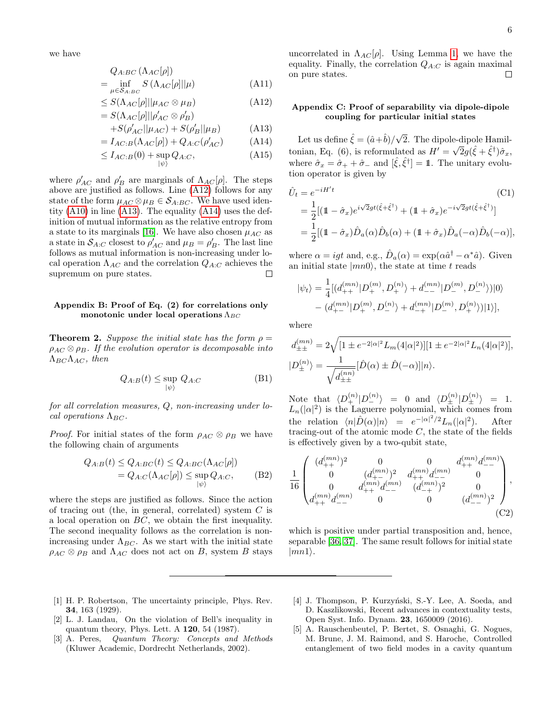we have

<span id="page-5-5"></span>
$$
Q_{A:BC}(\Lambda_{AC}[\rho])
$$
  
= 
$$
\inf_{\mu \in S_{A:BC}} S(\Lambda_{AC}[\rho]||\mu)
$$
 (A11)

$$
\leq S(\Lambda_{AC}[\rho]||\mu_{AC}\otimes\mu_B) \tag{A12}
$$

$$
= S(\Lambda_{AC}[\rho]||\rho'_{AC}\otimes\rho'_{B})
$$

$$
+S(\rho'_{AC}||\mu_{AC}) + S(\rho'_{B}||\mu_{B}) \tag{A13}
$$

$$
=I_{AC:B}(\Lambda_{AC}[\rho])+Q_{A:C}(\rho'_{AC})
$$
 (A14)

$$
\leq I_{AC:B}(0) + \sup_{|\psi\rangle} Q_{A:C}, \tag{A15}
$$

where  $\rho'_{AC}$  and  $\rho'_{B}$  are marginals of  $\Lambda_{AC}[\rho]$ . The steps above are justified as follows. Line [\(A12\)](#page-5-5) follows for any state of the form  $\mu_{AC} \otimes \mu_B \in \mathcal{S}_{A:BC}$ . We have used identity  $(A10)$  in line  $(A13)$ . The equality  $(A14)$  uses the definition of mutual information as the relative entropy from a state to its marginals [\[16\]](#page-6-4). We have also chosen  $\mu_{AC}$  as a state in  $S_{A:C}$  closest to  $\rho'_{AC}$  and  $\mu_B = \rho'_B$ . The last line follows as mutual information is non-increasing under local operation  $\Lambda_{AC}$  and the correlation  $Q_{A:C}$  achieves the supremum on pure states.  $\Box$ 

# Appendix B: Proof of Eq. (2) for correlations only monotonic under local operations  $\Lambda_{BC}$

**Theorem 2.** Suppose the initial state has the form  $\rho =$  $\rho_{AC} \otimes \rho_B$ . If the evolution operator is decomposable into  $\Lambda_{BC}\Lambda_{AC}$ , then

$$
Q_{A:B}(t) \le \sup_{|\psi\rangle} Q_{A:C} \tag{B1}
$$

for all correlation measures, Q, non-increasing under local operations  $\Lambda_{BC}$ .

*Proof.* For initial states of the form  $\rho_{AC} \otimes \rho_B$  we have the following chain of arguments

$$
Q_{A:B}(t) \le Q_{A:BC}(t) \le Q_{A:BC}(\Lambda_{AC}[\rho])
$$
  
=  $Q_{A:C}(\Lambda_{AC}[\rho]) \le \sup_{|\psi\rangle} Q_{A:C},$  (B2)

where the steps are justified as follows. Since the action of tracing out (the, in general, correlated) system  $C$  is a local operation on BC, we obtain the first inequality. The second inequality follows as the correlation is nonincreasing under  $\Lambda_{BC}$ . As we start with the initial state  $\rho_{AC} \otimes \rho_B$  and  $\Lambda_{AC}$  does not act on B, system B stays

# Appendix C: Proof of separability via dipole-dipole coupling for particular initial states

Let us define  $\hat{\xi} = (\hat{a} + \hat{b})/\sqrt{\frac{(\hat{a} + \hat{b})^2}{2\hat{b}^2}}$ 2. The dipole-dipole Hamiltonian, Eq. (6), is reformulated as  $H' = \sqrt{2}g(\hat{\xi} + \hat{\xi}^{\dagger})\hat{\sigma}_x$ , where  $\hat{\sigma}_x = \hat{\sigma}_+ + \hat{\sigma}_-$  and  $[\hat{\xi}, \hat{\xi}^\dagger] = 1$ . The unitary evolution operator is given by

$$
\hat{U}_t = e^{-iH't}
$$
\n(C1)  
\n
$$
= \frac{1}{2}[(1 - \hat{\sigma}_x)e^{i\sqrt{2}gt(\hat{\xi} + \hat{\xi}^\dagger)} + (1 + \hat{\sigma}_x)e^{-i\sqrt{2}gt(\hat{\xi} + \hat{\xi}^\dagger)}]
$$
\n
$$
= \frac{1}{2}[(1 - \hat{\sigma}_x)\hat{D}_a(\alpha)\hat{D}_b(\alpha) + (1 + \hat{\sigma}_x)\hat{D}_a(-\alpha)\hat{D}_b(-\alpha)],
$$

where  $\alpha = igt$  and, e.g.,  $\hat{D}_a(\alpha) = \exp(\alpha \hat{a}^\dagger - \alpha^* \hat{a})$ . Given an initial state  $|mn0\rangle$ , the state at time t reads

$$
|\psi_t\rangle = \frac{1}{4} [(d_{++}^{(mn)} | D_{+}^{(m)}, D_{+}^{(n)} \rangle + d_{--}^{(mn)} | D_{-}^{(m)}, D_{-}^{(n)} \rangle)|0\rangle
$$
  
–  $(d_{+-}^{(mn)} | D_{+}^{(m)}, D_{-}^{(n)} \rangle + d_{-+}^{(mn)} | D_{-}^{(m)}, D_{+}^{(n)} \rangle)|1\rangle],$ 

where

$$
\begin{split} d^{(mn)}_{\pm\pm} &= 2\sqrt{[1\pm e^{-2|\alpha|^2}L_m(4|\alpha|^2)][1\pm e^{-2|\alpha|^2}L_n(4|\alpha|^2)]},\\ |D^{(n)}_{\pm}\rangle &= \frac{1}{\sqrt{d^{(nn)}_{\pm\pm}}}[\hat{D}(\alpha)\pm \hat{D}(-\alpha)]|n\rangle. \end{split}
$$

Note that  $\langle D^{(n)}_{+} | D^{(n)}_{-} \rangle = 0$  and  $\langle D^{(n)}_{\pm} | D^{(n)}_{\pm} \rangle = 1$ .  $L_n(|\alpha|^2)$  is the Laguerre polynomial, which comes from the relation  $\langle n|\hat{D}(\alpha)|n\rangle = e^{-|\alpha|^2/2}L_n(|\alpha|^2)$ . After tracing-out of the atomic mode  $C$ , the state of the fields is effectively given by a two-qubit state,

$$
\frac{1}{16} \begin{pmatrix} (d_{++}^{(mn)})^2 & 0 & 0 & d_{++}^{(mn)}d_{--}^{(mn)} \\ 0 & (d_{+-}^{(mn)})^2 & d_{++}^{(mn)}d_{--}^{(mn)} & 0 \\ 0 & d_{++}^{(mn)}d_{--}^{(mn)} & (d_{-+}^{(mn)})^2 & 0 \\ d_{++}^{(mn)}d_{--}^{(mn)} & 0 & 0 & (d_{--}^{(mn)})^2 \end{pmatrix},
$$
\n(C2)

which is positive under partial transposition and, hence, separable [\[36,](#page-6-23) [37\]](#page-6-24). The same result follows for initial state  $|mn1\rangle.$ 

- <span id="page-5-0"></span>[1] H. P. Robertson, The uncertainty principle, Phys. Rev. 34, 163 (1929).
- <span id="page-5-1"></span>[2] L. J. Landau, On the violation of Bell's inequality in quantum theory, Phys. Lett. A 120, 54 (1987).
- <span id="page-5-2"></span>[3] A. Peres, Quantum Theory: Concepts and Methods (Kluwer Academic, Dordrecht Netherlands, 2002).
- <span id="page-5-3"></span>[4] J. Thompson, P. Kurzyński, S.-Y. Lee, A. Soeda, and D. Kaszlikowski, Recent advances in contextuality tests, Open Syst. Info. Dynam. 23, 1650009 (2016).
- <span id="page-5-4"></span>[5] A. Rauschenbeutel, P. Bertet, S. Osnaghi, G. Nogues, M. Brune, J. M. Raimond, and S. Haroche, Controlled entanglement of two field modes in a cavity quantum